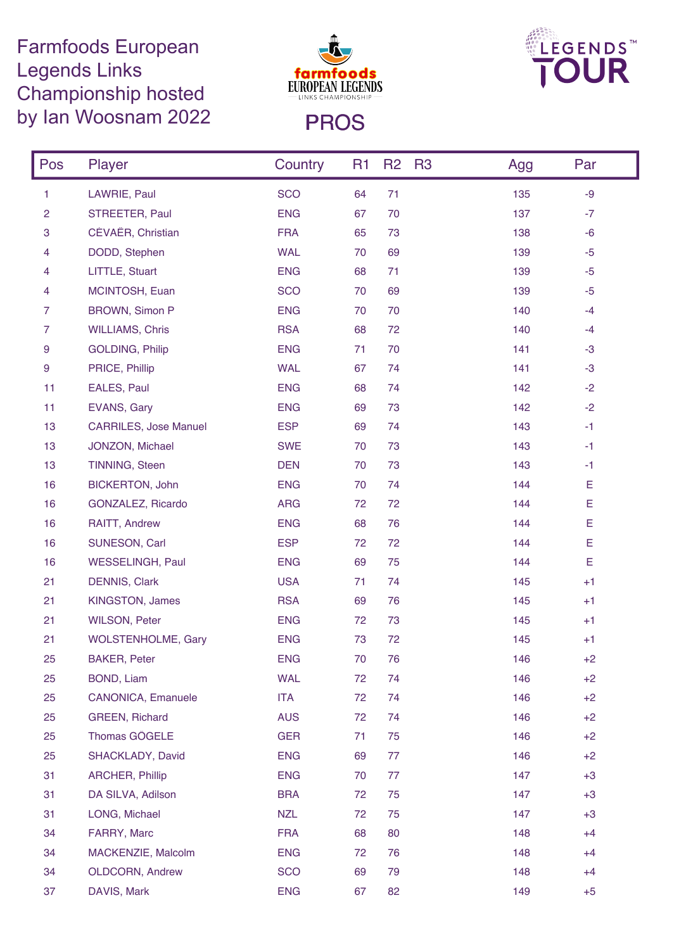## Farmfoods European Legends Links Championship hosted by Ian Woosnam 2022 PROS





| Pos            | Player                       | Country    | R <sub>1</sub> | R <sub>2</sub> | <b>R3</b><br>Agg | Par  |
|----------------|------------------------------|------------|----------------|----------------|------------------|------|
| 1              | LAWRIE, Paul                 | <b>SCO</b> | 64             | 71             | 135              | $-9$ |
| $\overline{c}$ | STREETER, Paul               | <b>ENG</b> | 67             | 70             | 137              | $-7$ |
| 3              | CÉVAËR, Christian            | <b>FRA</b> | 65             | 73             | 138              | $-6$ |
| 4              | DODD, Stephen                | <b>WAL</b> | 70             | 69             | 139              | $-5$ |
| 4              | LITTLE, Stuart               | <b>ENG</b> | 68             | 71             | 139              | $-5$ |
| 4              | MCINTOSH, Euan               | <b>SCO</b> | 70             | 69             | 139              | $-5$ |
| $\overline{7}$ | <b>BROWN, Simon P</b>        | <b>ENG</b> | 70             | 70             | 140              | $-4$ |
| $\overline{7}$ | <b>WILLIAMS, Chris</b>       | <b>RSA</b> | 68             | 72             | 140              | $-4$ |
| 9              | <b>GOLDING, Philip</b>       | <b>ENG</b> | 71             | 70             | 141              | $-3$ |
| 9              | PRICE, Phillip               | <b>WAL</b> | 67             | 74             | 141              | $-3$ |
| 11             | EALES, Paul                  | <b>ENG</b> | 68             | 74             | 142              | $-2$ |
| 11             | EVANS, Gary                  | <b>ENG</b> | 69             | 73             | 142              | $-2$ |
| 13             | <b>CARRILES, Jose Manuel</b> | <b>ESP</b> | 69             | 74             | 143              | $-1$ |
| 13             | JONZON, Michael              | <b>SWE</b> | 70             | 73             | 143              | $-1$ |
| 13             | TINNING, Steen               | <b>DEN</b> | 70             | 73             | 143              | $-1$ |
| 16             | <b>BICKERTON, John</b>       | <b>ENG</b> | 70             | 74             | 144              | Е    |
| 16             | GONZALEZ, Ricardo            | <b>ARG</b> | 72             | 72             | 144              | E    |
| 16             | RAITT, Andrew                | <b>ENG</b> | 68             | 76             | 144              | E    |
| 16             | SUNESON, Carl                | <b>ESP</b> | 72             | 72             | 144              | E    |
| 16             | WESSELINGH, Paul             | <b>ENG</b> | 69             | 75             | 144              | E    |
| 21             | <b>DENNIS, Clark</b>         | <b>USA</b> | 71             | 74             | 145              | $+1$ |
| 21             | <b>KINGSTON, James</b>       | <b>RSA</b> | 69             | 76             | 145              | $+1$ |
| 21             | <b>WILSON, Peter</b>         | <b>ENG</b> | 72             | 73             | 145              | $+1$ |
| 21             | <b>WOLSTENHOLME, Gary</b>    | <b>ENG</b> | 73             | 72             | 145              | $+1$ |
| 25             | <b>BAKER, Peter</b>          | <b>ENG</b> | 70             | 76             | 146              | $+2$ |
| 25             | BOND, Liam                   | <b>WAL</b> | 72             | 74             | 146              | $+2$ |
| 25             | <b>CANONICA, Emanuele</b>    | <b>ITA</b> | 72             | 74             | 146              | $+2$ |
| 25             | <b>GREEN, Richard</b>        | <b>AUS</b> | 72             | 74             | 146              | $+2$ |
| 25             | Thomas GÖGELE                | <b>GER</b> | 71             | 75             | 146              | $+2$ |
| 25             | SHACKLADY, David             | <b>ENG</b> | 69             | 77             | 146              | $+2$ |
| 31             | <b>ARCHER, Phillip</b>       | <b>ENG</b> | 70             | 77             | 147              | $+3$ |
| 31             | DA SILVA, Adilson            | <b>BRA</b> | 72             | 75             | 147              | $+3$ |
| 31             | LONG, Michael                | <b>NZL</b> | 72             | 75             | 147              | $+3$ |
| 34             | FARRY, Marc                  | <b>FRA</b> | 68             | 80             | 148              | $+4$ |
| 34             | MACKENZIE, Malcolm           | <b>ENG</b> | 72             | 76             | 148              | $+4$ |
| 34             | <b>OLDCORN, Andrew</b>       | <b>SCO</b> | 69             | 79             | 148              | $+4$ |
| 37             | DAVIS, Mark                  | <b>ENG</b> | 67             | 82             | 149              | $+5$ |